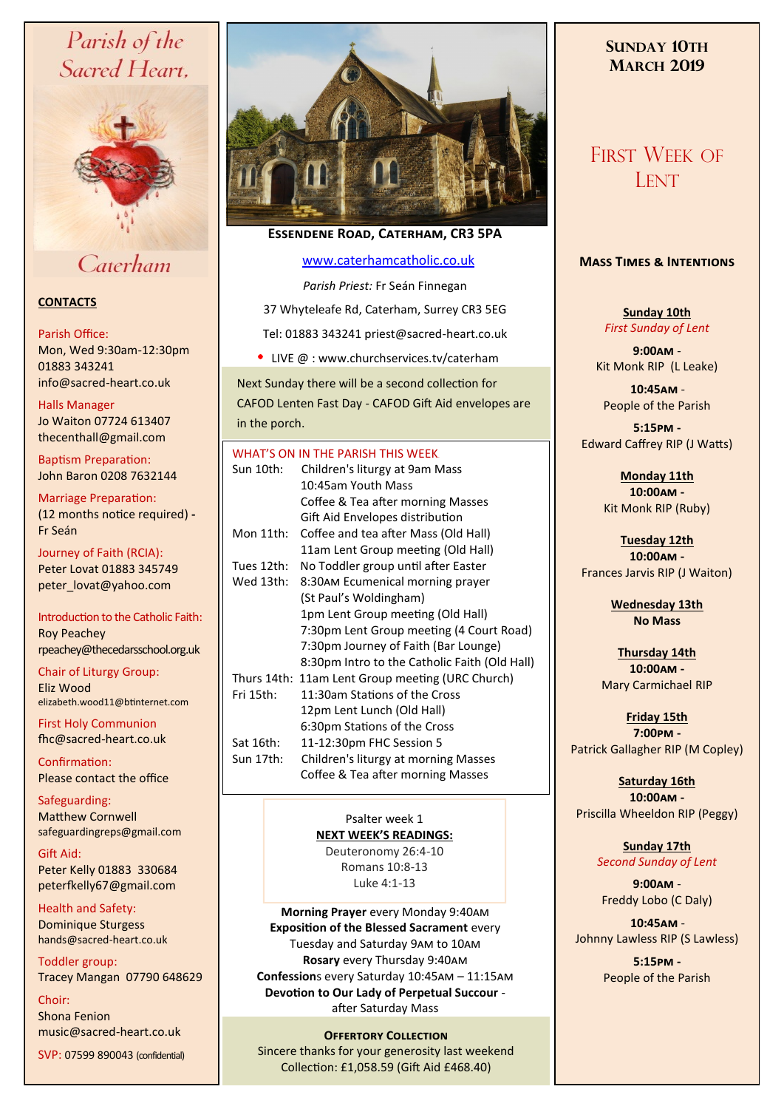# Parish of the Sacred Heart,



# Caterham

# **CONTACTS**

# Parish Office:

Mon, Wed 9:30am-12:30pm 01883 343241 info@sacred-heart.co.uk .

# Halls Manager

Jo Waiton 07724 613407 thecenthall@gmail.com

Baptism Preparation: John Baron 0208 7632144

Marriage Preparation: (12 months notice required) **-** Fr Seán

Journey of Faith (RCIA): Peter Lovat 01883 345749 peter\_lovat@yahoo.com

Introduction to the Catholic Faith: Roy Peachey rpeachey@thecedarsschool.org.uk

Chair of Liturgy Group: Eliz Wood elizabeth.wood11@btinternet.com

First Holy Communion fhc@sacred-heart.co.uk

Confirmation: Please contact the office

Safeguarding: Matthew Cornwell safeguardingreps@gmail.com

Gift Aid: Peter Kelly 01883 330684 peterfkelly67@gmail.com

Health and Safety: Dominique Sturgess hands@sacred-heart.co.uk

Toddler group: Tracey Mangan 07790 648629

Choir: Shona Fenion music@sacred-heart.co.uk

SVP: 07599 890043 (confidential)



# **Essendene Road, Caterham, CR3 5PA**

# [www.caterhamcatholic.co.uk](http://Www.caterhamcatholic.co.uk)

*Parish Priest:* Fr Seán Finnegan 37 Whyteleafe Rd, Caterham, Surrey CR3 5EG Tel: 01883 343241 priest@sacred-heart.co.uk

• LIVE @ : www.churchservices.tv/caterham

Next Sunday there will be a second collection for CAFOD Lenten Fast Day - CAFOD Gift Aid envelopes are in the porch.

# WHAT'S ON IN THE PARISH THIS WEEK. Sun 10th: Children's liturgy at 9am Mass 10:45am Youth Mass Coffee & Tea after morning Masses Gift Aid Envelopes distribution Mon 11th: Coffee and tea after Mass (Old Hall) 11am Lent Group meeting (Old Hall) Tues 12th: No Toddler group until after Easter Wed 13th: 8:30am Ecumenical morning prayer (St Paul's Woldingham) 1pm Lent Group meeting (Old Hall) 7:30pm Lent Group meeting (4 Court Road) 7:30pm Journey of Faith (Bar Lounge) 8:30pm Intro to the Catholic Faith (Old Hall) Thurs 14th: 11am Lent Group meeting (URC Church) Fri 15th: 11:30am Stations of the Cross 12pm Lent Lunch (Old Hall) 6:30pm Stations of the Cross Sat 16th: 11-12:30pm FHC Session 5 Sun 17th: Children's liturgy at morning Masses Coffee & Tea after morning Masses

# Psalter week 1 **NEXT WEEK'S READINGS:**

Deuteronomy 26:4-10 Romans 10:8-13 Luke 4:1-13

**Morning Prayer** every Monday 9:40am **Exposition of the Blessed Sacrament** every Tuesday and Saturday 9am to 10am **Rosary** every Thursday 9:40am **Confession**s every Saturday 10:45am – 11:15am **Devotion to Our Lady of Perpetual Succour**  after Saturday Mass

# **Offertory Collection**

Sincere thanks for your generosity last weekend Collection: £1,058.59 (Gift Aid £468.40)

# **SUNDAY 10TH MARCH 2019**

# FIRST WEEK OF **LENT**

# **Mass Times & Intentions**

**Sunday 10th** *First Sunday of Lent*

**9:00am** - Kit Monk RIP (L Leake)

.**10:45am** - People of the Parish

**5:15pm -** Edward Caffrey RIP (J Watts)

> **Monday 11th 10:00am -**  Kit Monk RIP (Ruby)

**Tuesday 12th 10:00am -** Frances Jarvis RIP (J Waiton)

> **Wednesday 13th No Mass**

**Thursday 14th 10:00am -** Mary Carmichael RIP

**Friday 15th 7:00pm -** Patrick Gallagher RIP (M Copley)

**Saturday 16th 10:00am -**  Priscilla Wheeldon RIP (Peggy)

> **Sunday 17th** *Second Sunday of Lent*

**9:00am** - Freddy Lobo (C Daly)

.**10:45am** - Johnny Lawless RIP (S Lawless)

> **5:15pm -** People of the Parish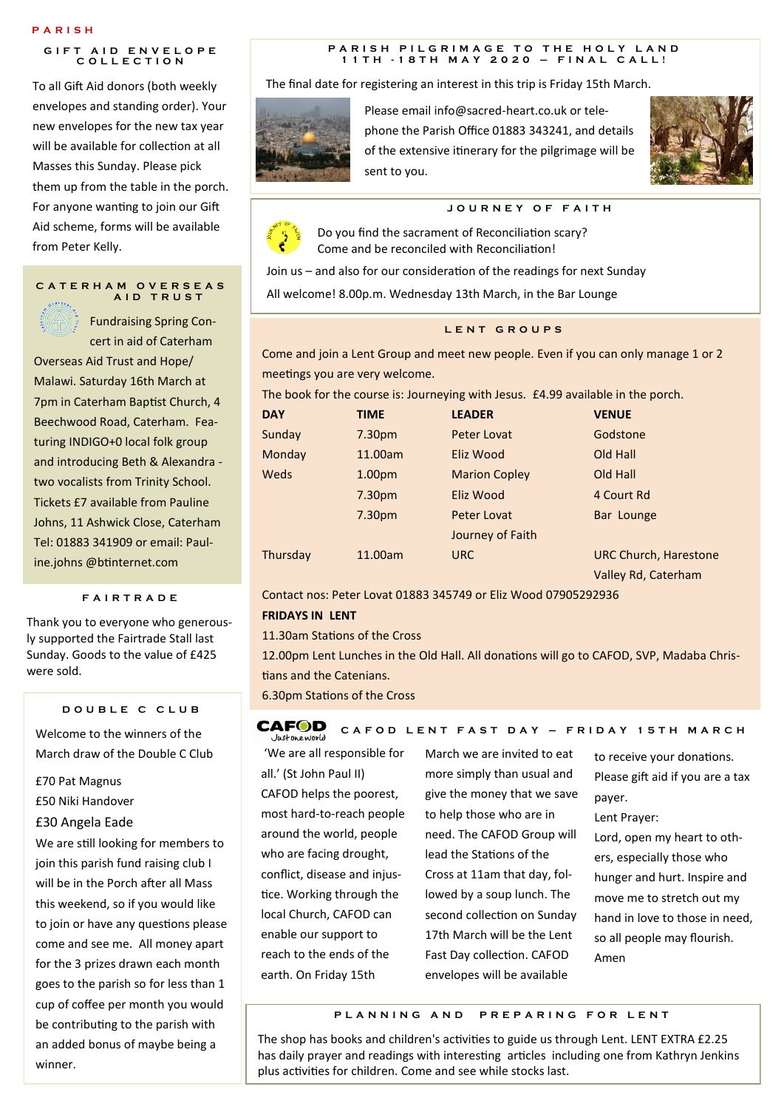#### **P A R I S H**

# **GIFT AID ENVELOPE C O L L E C T I O N**

To all Gift Aid donors (both weekly envelopes and standing order). Your new envelopes for the new tax year will be available for collection at all Masses this Sunday. Please pick them up from the table in the porch. For anyone wanting to join our Gift Aid scheme, forms will be available from Peter Kelly.

#### **C A T E R H A M O V E R S E A S A I D T R U S T**

Fundraising Spring Concert in aid of Caterham Overseas Aid Trust and Hope/ Malawi. Saturday 16th March at 7pm in Caterham Baptist Church, 4 Beechwood Road, Caterham. Featuring INDIGO+0 local folk group and introducing Beth & Alexandra two vocalists from Trinity School. Tickets £7 available from Pauline Johns, 11 Ashwick Close, Caterham Tel: 01883 341909 or email: Pauline.johns @btinternet.com

## **F A I R T R A D E**

Thank you to everyone who generously supported the Fairtrade Stall last Sunday. Goods to the value of £425 were sold.

### **D O U B L E C C L U B**

Welcome to the winners of the March draw of the Double C Club

- £70 Pat Magnus
- £50 Niki Handover

# £30 Angela Eade

We are still looking for members to join this parish fund raising club I will be in the Porch after all Mass this weekend, so if you would like to join or have any questions please come and see me. All money apart for the 3 prizes drawn each month goes to the parish so for less than 1 cup of coffee per month you would be contributing to the parish with an added bonus of maybe being a winner.

#### **P A R I S H P I L G R I M A G E T O T H E H O L Y L A N D 1 1 T H - 1 8 T H M A Y 2 0 2 0 – F I N A L C A L L !**

The final date for registering an interest in this trip is Friday 15th March.



Please email info@sacred-heart.co.uk or telephone the Parish Office 01883 343241, and details of the extensive itinerary for the pilgrimage will be sent to you.



# **J O U R N E Y O F F A I T H**



Do you find the sacrament of Reconciliation scary? Come and be reconciled with Reconciliation!

Join us – and also for our consideration of the readings for next Sunday

All welcome! 8.00p.m. Wednesday 13th March, in the Bar Lounge

# **L E N T G R O U P S**

Come and join a Lent Group and meet new people. Even if you can only manage 1 or 2 meetings you are very welcome.

The book for the course is: Journeying with Jesus. £4.99 available in the porch.

| <b>DAY</b> | <b>TIME</b>        | <b>LEADER</b>        | <b>VENUE</b>                 |
|------------|--------------------|----------------------|------------------------------|
| Sunday     | 7.30 <sub>pm</sub> | Peter Lovat          | Godstone                     |
| Monday     | 11.00am            | Eliz Wood            | Old Hall                     |
| Weds       | 1.00 <sub>pm</sub> | <b>Marion Copley</b> | Old Hall                     |
|            | 7.30 <sub>pm</sub> | Eliz Wood            | 4 Court Rd                   |
|            | 7.30 <sub>pm</sub> | Peter Lovat          | Bar Lounge                   |
|            |                    | Journey of Faith     |                              |
| Thursday   | 11.00am            | <b>URC</b>           | <b>URC Church, Harestone</b> |
|            |                    |                      | Valley Rd, Caterham          |

Contact nos: Peter Lovat 01883 345749 or Eliz Wood 07905292936

#### **FRIDAYS IN LENT**

11.30am Stations of the Cross

12.00pm Lent Lunches in the Old Hall. All donations will go to CAFOD, SVP, Madaba Christians and the Catenians.

6.30pm Stations of the Cross

#### **CAFOD C A F O D L E N T F A S T D A Y – F R I D A Y 1 5 T H M A R C H** lustoneworld

'We are all responsible for all.' (St John Paul II) CAFOD helps the poorest, most hard-to-reach people around the world, people who are facing drought, conflict, disease and injustice. Working through the local Church, CAFOD can enable our support to reach to the ends of the earth. On Friday 15th

March we are invited to eat more simply than usual and give the money that we save to help those who are in need. The CAFOD Group will lead the Stations of the Cross at 11am that day, followed by a soup lunch. The second collection on Sunday 17th March will be the Lent Fast Day collection. CAFOD envelopes will be available

to receive your donations. Please gift aid if you are a tax payer.

Lent Prayer:

Lord, open my heart to others, especially those who hunger and hurt. Inspire and move me to stretch out my hand in love to those in need, so all people may flourish. Amen

**P L A N N I N G A N D P R E P A R I N G F O R L E N T**

The shop has books and children's activities to guide us through Lent. LENT EXTRA £2.25 has daily prayer and readings with interesting articles including one from Kathryn Jenkins plus activities for children. Come and see while stocks last.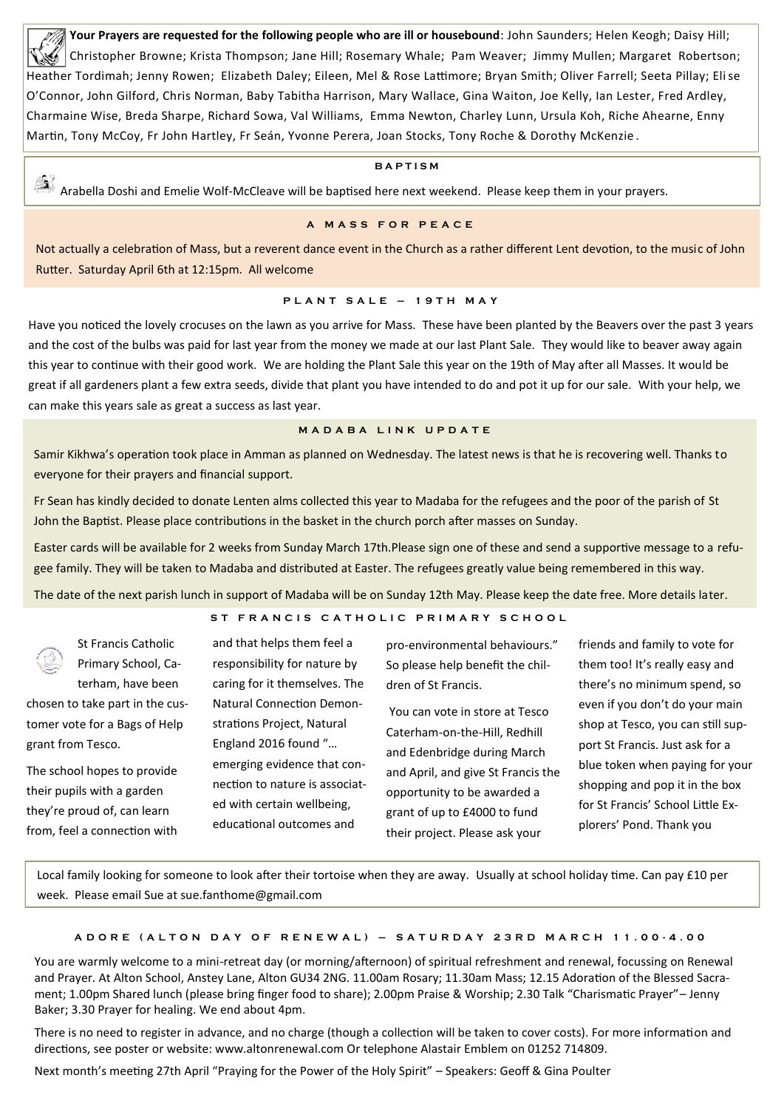**Your Prayers are requested for the following people who are ill or housebound**: John Saunders; Helen Keogh; Daisy Hill; Christopher Browne; Krista Thompson; Jane Hill; Rosemary Whale; Pam Weaver; Jimmy Mullen; Margaret Robertson; Heather Tordimah; Jenny Rowen; Elizabeth Daley; Eileen, Mel & Rose Lattimore; Bryan Smith; Oliver Farrell; Seeta Pillay; Elise O'Connor, John Gilford, Chris Norman, Baby Tabitha Harrison, Mary Wallace, Gina Waiton, Joe Kelly, Ian Lester, Fred Ardley, Charmaine Wise, Breda Sharpe, Richard Sowa, Val Williams, Emma Newton, Charley Lunn, Ursula Koh, Riche Ahearne, Enny Martin, Tony McCoy, Fr John Hartley, Fr Seán, Yvonne Perera, Joan Stocks, Tony Roche & Dorothy McKenzie .

# **B A P T I S M**

25 Arabella Doshi and Emelie Wolf-McCleave will be baptised here next weekend. Please keep them in your prayers.

## **A M A S S F O R P E A C E**

Not actually a celebration of Mass, but a reverent dance event in the Church as a rather different Lent devotion, to the music of John Rutter. Saturday April 6th at 12:15pm. All welcome

# **P L A N T S A L E – 1 9 T H M A Y**

Have you noticed the lovely crocuses on the lawn as you arrive for Mass. These have been planted by the Beavers over the past 3 years and the cost of the bulbs was paid for last year from the money we made at our last Plant Sale. They would like to beaver away again this year to continue with their good work. We are holding the Plant Sale this year on the 19th of May after all Masses. It would be great if all gardeners plant a few extra seeds, divide that plant you have intended to do and pot it up for our sale. With your help, we can make this years sale as great a success as last year.

## **M A D A B A L I N K U P D A T E**

Samir Kikhwa's operation took place in Amman as planned on Wednesday. The latest news is that he is recovering well. Thanks to everyone for their prayers and financial support.

Fr Sean has kindly decided to donate Lenten alms collected this year to Madaba for the refugees and the poor of the parish of St John the Baptist. Please place contributions in the basket in the church porch after masses on Sunday.

Easter cards will be available for 2 weeks from Sunday March 17th.Please sign one of these and send a supportive message to a refugee family. They will be taken to Madaba and distributed at Easter. The refugees greatly value being remembered in this way.

The date of the next parish lunch in support of Madaba will be on Sunday 12th May. Please keep the date free. More details later.

# ST FRANCIS CATHOLIC PRIMARY SCHOOL

| <b>BASICAL SECTION AND SECTION AND SECTION AND SECTION AND</b> | <b>St Francis Catholic</b>      | and that helps them feel a       | pro-environmental behaviours."     | friends and family to vote for    |
|----------------------------------------------------------------|---------------------------------|----------------------------------|------------------------------------|-----------------------------------|
|                                                                | Primary School, Ca-             | responsibility for nature by     | So please help benefit the chil-   | them too! It's really easy and    |
|                                                                | terham, have been               | caring for it themselves. The    | dren of St Francis.                | there's no minimum spend, so      |
|                                                                | chosen to take part in the cus- | <b>Natural Connection Demon-</b> | You can vote in store at Tesco     | even if you don't do your main    |
|                                                                | tomer vote for a Bags of Help   | strations Project, Natural       | Caterham-on-the-Hill, Redhill      | shop at Tesco, you can still sup- |
|                                                                | grant from Tesco.               | England 2016 found "             | and Edenbridge during March        | port St Francis. Just ask for a   |
|                                                                | The school hopes to provide     | emerging evidence that con-      | and April, and give St Francis the | blue token when paying for your   |
|                                                                | their pupils with a garden      | nection to nature is associat-   | opportunity to be awarded a        | shopping and pop it in the box    |
|                                                                | they're proud of, can learn     | ed with certain wellbeing,       | grant of up to £4000 to fund       | for St Francis' School Little Ex- |
|                                                                | from, feel a connection with    | educational outcomes and         | their project. Please ask your     | plorers' Pond. Thank you          |

Local family looking for someone to look after their tortoise when they are away. Usually at school holiday time. Can pay £10 per week. Please email Sue at sue.fanthome@gmail.com

### **A D O R E ( A L T O N D A Y O F R E N E W A L ) – S A T U R D A Y 2 3 R D M A R C H 1 1 . 0 0 - 4 . 0 0**

You are warmly welcome to a mini-retreat day (or morning/afternoon) of spiritual refreshment and renewal, focussing on Renewal and Prayer. At Alton School, Anstey Lane, Alton GU34 2NG. 11.00am Rosary; 11.30am Mass; 12.15 Adoration of the Blessed Sacrament; 1.00pm Shared lunch (please bring finger food to share); 2.00pm Praise & Worship; 2.30 Talk "Charismatic Prayer"– Jenny Baker; 3.30 Prayer for healing. We end about 4pm.

There is no need to register in advance, and no charge (though a collection will be taken to cover costs). For more information and directions, see poster or website: www.altonrenewal.com Or telephone Alastair Emblem on 01252 714809.

Next month's meeting 27th April "Praying for the Power of the Holy Spirit" – Speakers: Geoff & Gina Poulter